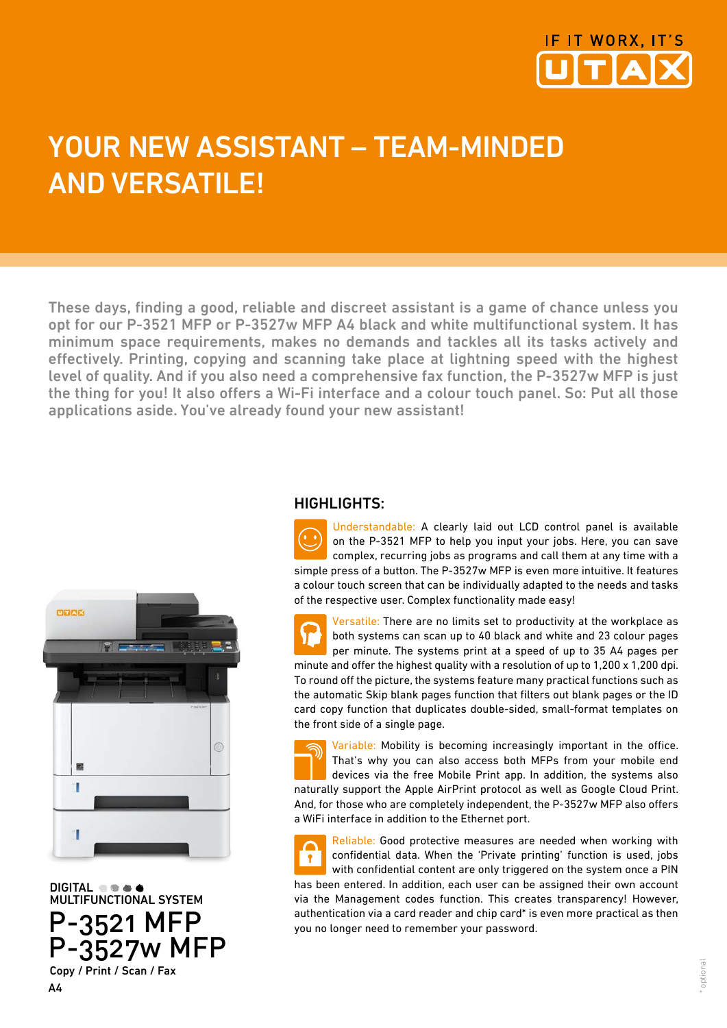

## YOUR NEW ASSISTANT - TEAM-MINDED and versatile!

These days, finding a good, reliable and discreet assistant is a game of chance unless you opt for our P-3521 MFP or P-3527w MFP A4 black and white multifunctional system. It has minimum space requirements, makes no demands and tackles all its tasks actively and effectively. Printing, copying and scanning take place at lightning speed with the highest level of quality. And if you also need a comprehensive fax function, the P-3527w MFP is just the thing for you! It also offers a Wi-Fi interface and a colour touch panel. So: Put all those applications aside. You've already found your new assistant!



DIGITAL  $\bullet \bullet \bullet$ <br>MULTIFUNCTIONAL SYSTEM P-3521 MFP P-3527w MFP Copy / Print / Scan / Fax

## HIGHLIGHTS:

Understandable: A clearly laid out LCD control panel is available on the P-3521 MFP to help you input your jobs. Here, you can save complex, recurring jobs as programs and call them at any time with a simple press of a button. The P-3527w MFP is even more intuitive. It features a colour touch screen that can be individually adapted to the needs and tasks of the respective user. Complex functionality made easy!

Versatile: There are no limits set to productivity at the workplace as both systems can scan up to 40 black and white and 23 colour pages per minute. The systems print at a speed of up to 35 A4 pages per minute and offer the highest quality with a resolution of up to 1,200 x 1,200 dpi. To round off the picture, the systems feature many practical functions such as the automatic Skip blank pages function that filters out blank pages or the ID card copy function that duplicates double-sided, small-format templates on the front side of a single page.

Variable: Mobility is becoming increasingly important in the office. That's why you can also access both MFPs from your mobile end devices via the free Mobile Print app. In addition, the systems also naturally support the Apple AirPrint protocol as well as Google Cloud Print. And, for those who are completely independent, the P-3527w MFP also offers a WiFi interface in addition to the Ethernet port.

Reliable: Good protective measures are needed when working with confidential data. When the 'Private printing' function is used, jobs  $\bullet$ with confidential content are only triggered on the system once a PIN has been entered. In addition, each user can be assigned their own account via the Management codes function. This creates transparency! However, authentication via a card reader and chip card\* is even more practical as then you no longer need to remember your password.